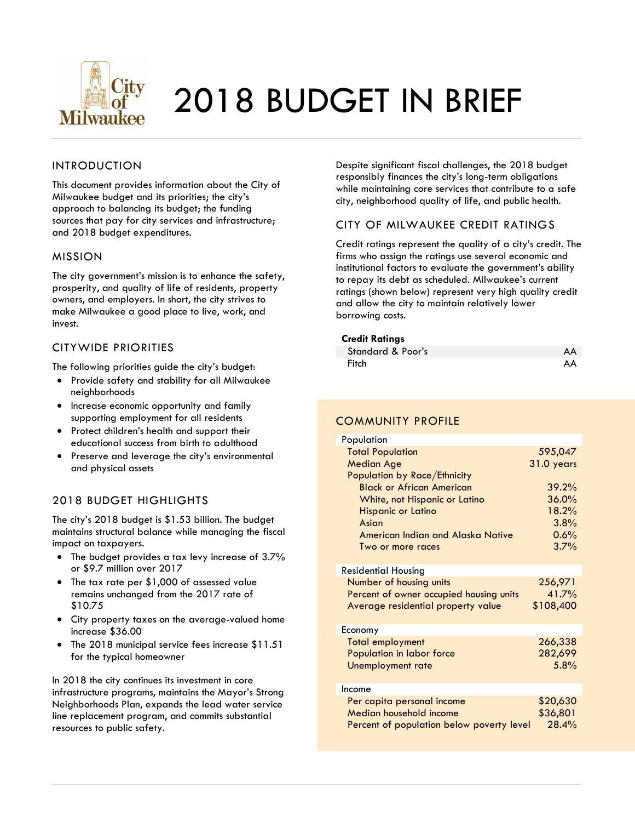

# 2018 BUDGET IN BRIEF

#### INTRODUCTION

This document provides information about the City of Milwaukee budget and its priorities; the city's approach to balancing its budget; the funding sources that pay for city services and infrastructure; and 2018 budget expenditures.

#### MISSION

The city government's mission is to enhance the safety, prosperity, and quality of life of residents, property owners, and employers. In short, the city strives to make Milwaukee a good place to live, work, and invest.

#### CITYWIDE PRIORITIES

The following priorities guide the city's budget:

- Provide safety and stability for all Milwaukee neighborhoods
- Increase economic opportunity and family supporting employment for all residents
- Protect children's health and support their educational success from birth to adulthood
- Preserve and leverage the city's environmental and physical assets

#### 2018 BUDGET HIGHLIGHTS

The city's 2018 budget is \$1.53 billion. The budget maintains structural balance while managing the fiscal impact on taxpayers.

- The budget provides a tax levy increase of 3.7% or \$9.7 million over 2017
- The tax rate per \$1,000 of assessed value remains unchanged from the 2017 rate of \$10.75
- City property taxes on the average-valued home increase \$36.00
- The 2018 municipal service fees increase \$11.51 for the typical homeowner

In 2018 the city continues its investment in core infrastructure programs, maintains the Mayor's Strong Neighborhoods Plan, expands the lead water service line replacement program, and commits substantial resources to public safety.

Despite significant fiscal challenges, the 2018 budget responsibly finances the city's long-term obligations while maintaining core services that contribute to a safe city, neighborhood quality of life, and public health.

#### CITY OF MILWAUKEE CREDIT RATINGS

Credit ratings represent the quality of a city's credit. The firms who assign the ratings use several economic and institutional factors to evaluate the government's ability to repay its debt as scheduled. Milwaukee's current ratings (shown below) represent very high quality credit and allow the city to maintain relatively lower borrowing costs.

#### **Credit Ratings**

| Standard & Poor's | AA |
|-------------------|----|
| Fitch             | AA |

#### COMMUNITY PROFILE

| Population                                |            |
|-------------------------------------------|------------|
| <b>Total Population</b>                   | 595,047    |
| <b>Median Age</b>                         | 31.0 years |
| Population by Race/Ethnicity              |            |
| <b>Black or African American</b>          | 39.2%      |
| White, not Hispanic or Latino             | 36.0%      |
| <b>Hispanic or Latino</b>                 | 18.2%      |
| Asian                                     | 3.8%       |
| American Indian and Alaska Native         | 0.6%       |
| Two or more races                         | 3.7%       |
|                                           |            |
| Residential Housing                       |            |
| Number of housing units                   | 256,971    |
| Percent of owner occupied housing units   | 41.7%      |
| Average residential property value        | \$108,400  |
|                                           |            |
| Economy                                   |            |
| <b>Total employment</b>                   | 266,338    |
| Population in labor force                 | 282,699    |
| Unemployment rate                         | 5.8%       |
|                                           |            |
| Income                                    |            |
| Per capita personal income                | \$20,630   |
| Median household income                   | \$36,801   |
| Percent of population below poverty level | 28.4%      |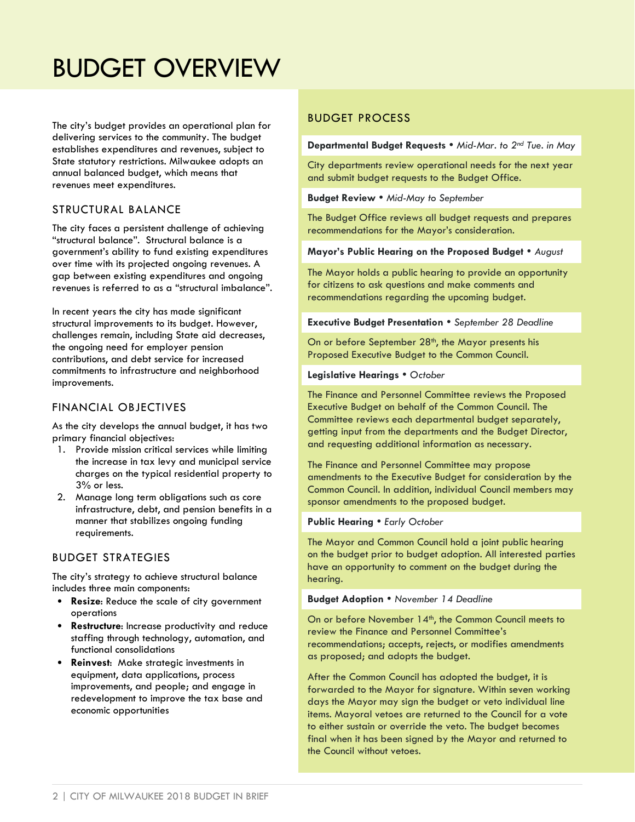### BUDGET OVERVIEW

The city's budget provides an operational plan for delivering services to the community. The budget establishes expenditures and revenues, subject to State statutory restrictions. Milwaukee adopts an annual balanced budget, which means that revenues meet expenditures.

#### STRUCTURAL BALANCE

The city faces a persistent challenge of achieving "structural balance". Structural balance is a government's ability to fund existing expenditures over time with its projected ongoing revenues. A gap between existing expenditures and ongoing revenues is referred to as a "structural imbalance".

In recent years the city has made significant structural improvements to its budget. However, challenges remain, including State aid decreases, the ongoing need for employer pension contributions, and debt service for increased commitments to infrastructure and neighborhood improvements.

#### FINANCIAL OBJECTIVES

As the city develops the annual budget, it has two primary financial objectives:

- 1. Provide mission critical services while limiting the increase in tax levy and municipal service charges on the typical residential property to 3% or less.
- 2. Manage long term obligations such as core infrastructure, debt, and pension benefits in a manner that stabilizes ongoing funding requirements.

#### BUDGET STRATEGIES

The city's strategy to achieve structural balance includes three main components:

- **Resize**: Reduce the scale of city government operations
- **Restructure**: Increase productivity and reduce staffing through technology, automation, and functional consolidations
- **Reinvest**: Make strategic investments in equipment, data applications, process improvements, and people; and engage in redevelopment to improve the tax base and economic opportunities

#### BUDGET PROCESS

**Departmental Budget Requests** *Mid-Mar. to 2nd Tue. in May*

City departments review operational needs for the next year and submit budget requests to the Budget Office.

**Budget Review** *Mid-May to September*

The Budget Office reviews all budget requests and prepares recommendations for the Mayor's consideration.

#### **Mayor's Public Hearing on the Proposed Budget** *August*

The Mayor holds a public hearing to provide an opportunity for citizens to ask questions and make comments and recommendations regarding the upcoming budget.

**Executive Budget Presentation**  *September 28 Deadline*

On or before September 28<sup>th</sup>, the Mayor presents his Proposed Executive Budget to the Common Council.

#### **Legislative Hearings**  *October*

The Finance and Personnel Committee reviews the Proposed Executive Budget on behalf of the Common Council. The Committee reviews each departmental budget separately, getting input from the departments and the Budget Director, and requesting additional information as necessary.

The Finance and Personnel Committee may propose amendments to the Executive Budget for consideration by the Common Council. In addition, individual Council members may sponsor amendments to the proposed budget.

#### **Public Hearing • Early October**

The Mayor and Common Council hold a joint public hearing on the budget prior to budget adoption. All interested parties have an opportunity to comment on the budget during the hearing.

#### **Budget Adoption** *November 14 Deadline*

On or before November 14<sup>th</sup>, the Common Council meets to review the Finance and Personnel Committee's recommendations; accepts, rejects, or modifies amendments as proposed; and adopts the budget.

After the Common Council has adopted the budget, it is forwarded to the Mayor for signature. Within seven working days the Mayor may sign the budget or veto individual line items. Mayoral vetoes are returned to the Council for a vote to either sustain or override the veto. The budget becomes final when it has been signed by the Mayor and returned to the Council without vetoes.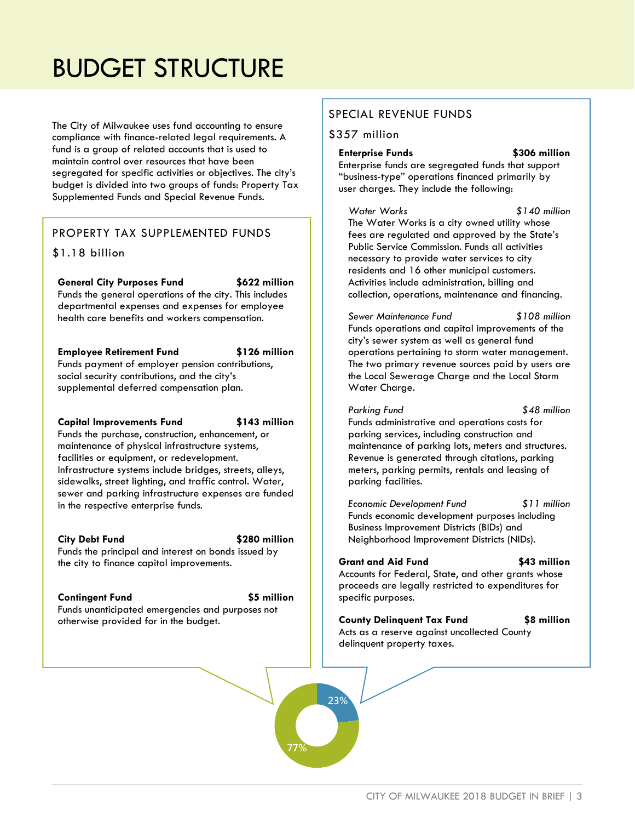## BUDGET STRUCTURE

The City of Milwaukee uses fund accounting to ensure compliance with finance-related legal requirements. A fund is a group of related accounts that is used to maintain control over resources that have been segregated for specific activities or objectives. The city's budget is divided into two groups of funds: Property Tax Supplemented Funds and Special Revenue Funds.

#### PROPERTY TAX SUPPLEMENTED FUNDS

#### \$1.18 billion

**General City Purposes Fund \$622 million** Funds the general operations of the city. This includes departmental expenses and expenses for employee health care benefits and workers compensation.

**Employee Retirement Fund \$126 million** Funds payment of employer pension contributions, social security contributions, and the city's supplemental deferred compensation plan.

#### **Capital Improvements Fund \$143 million**

Funds the purchase, construction, enhancement, or maintenance of physical infrastructure systems, facilities or equipment, or redevelopment. Infrastructure systems include bridges, streets, alleys, sidewalks, street lighting, and traffic control. Water, sewer and parking infrastructure expenses are funded in the respective enterprise funds.

#### **City Debt Fund \$280 million**

Funds the principal and interest on bonds issued by the city to finance capital improvements.

otherwise provided for in the budget.

#### **Contingent Fund \$5 million**

Funds unanticipated emergencies and purposes not

**23%**

**77%**

#### SPECIAL REVENUE FUNDS

#### \$357 million

**Enterprise Funds \$306 million** Enterprise funds are segregated funds that support "business-type" operations financed primarily by user charges. They include the following:

*Water Works \$140 million* The Water Works is a city owned utility whose fees are regulated and approved by the State's Public Service Commission. Funds all activities necessary to provide water services to city residents and 16 other municipal customers. Activities include administration, billing and collection, operations, maintenance and financing.

*Sewer Maintenance Fund \$108 million* Funds operations and capital improvements of the city's sewer system as well as general fund operations pertaining to storm water management. The two primary revenue sources paid by users are the Local Sewerage Charge and the Local Storm Water Charge.

*Parking Fund \$48 million* Funds administrative and operations costs for parking services, including construction and maintenance of parking lots, meters and structures. Revenue is generated through citations, parking meters, parking permits, rentals and leasing of parking facilities.

*Economic Development Fund \$11 million* Funds economic development purposes including Business Improvement Districts (BIDs) and Neighborhood Improvement Districts (NIDs).

**Grant and Aid Fund \$43 million** Accounts for Federal, State, and other grants whose proceeds are legally restricted to expenditures for specific purposes.

**County Delinquent Tax Fund \$8 million** Acts as a reserve against uncollected County delinquent property taxes.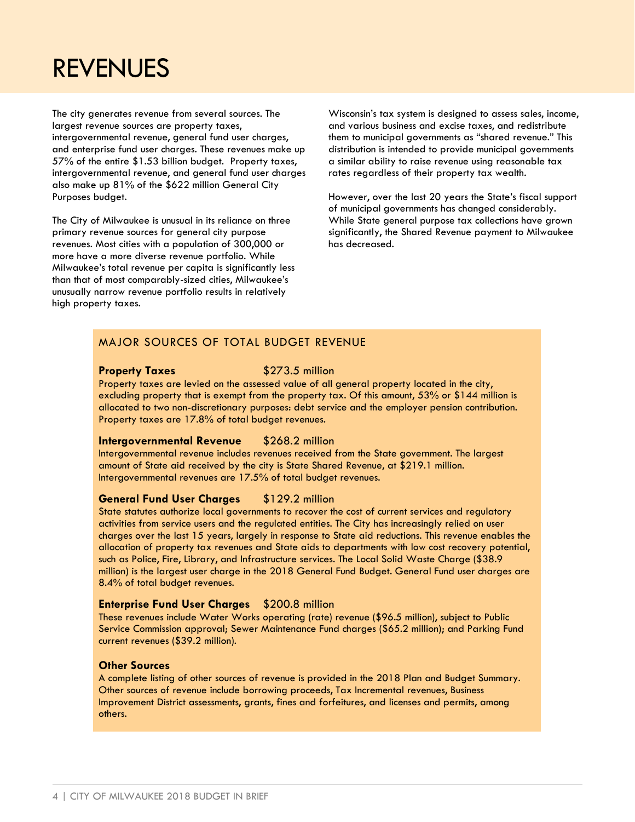### REVENUES

The city generates revenue from several sources. The largest revenue sources are property taxes, intergovernmental revenue, general fund user charges, and enterprise fund user charges. These revenues make up 57% of the entire \$1.53 billion budget. Property taxes, intergovernmental revenue, and general fund user charges also make up 81% of the \$622 million General City Purposes budget.

The City of Milwaukee is unusual in its reliance on three primary revenue sources for general city purpose revenues. Most cities with a population of 300,000 or more have a more diverse revenue portfolio. While Milwaukee's total revenue per capita is significantly less than that of most comparably-sized cities, Milwaukee's unusually narrow revenue portfolio results in relatively high property taxes.

Wisconsin's tax system is designed to assess sales, income, and various business and excise taxes, and redistribute them to municipal governments as "shared revenue." This distribution is intended to provide municipal governments a similar ability to raise revenue using reasonable tax rates regardless of their property tax wealth.

However, over the last 20 years the State's fiscal support of municipal governments has changed considerably. While State general purpose tax collections have grown significantly, the Shared Revenue payment to Milwaukee has decreased.

#### MAJOR SOURCES OF TOTAL BUDGET REVENUE

#### **Property Taxes** \$273.5 million

Property taxes are levied on the assessed value of all general property located in the city, excluding property that is exempt from the property tax. Of this amount, 53% or \$144 million is allocated to two non-discretionary purposes: debt service and the employer pension contribution. Property taxes are 17.8% of total budget revenues.

#### **Intergovernmental Revenue** \$268.2 million

Intergovernmental revenue includes revenues received from the State government. The largest amount of State aid received by the city is State Shared Revenue, at \$219.1 million. Intergovernmental revenues are 17.5% of total budget revenues.

#### **General Fund User Charges** \$129.2 million

State statutes authorize local governments to recover the cost of current services and regulatory activities from service users and the regulated entities. The City has increasingly relied on user charges over the last 15 years, largely in response to State aid reductions. This revenue enables the allocation of property tax revenues and State aids to departments with low cost recovery potential, such as Police, Fire, Library, and Infrastructure services. The Local Solid Waste Charge (\$38.9 million) is the largest user charge in the 2018 General Fund Budget. General Fund user charges are 8.4% of total budget revenues.

#### **Enterprise Fund User Charges** \$200.8 million

These revenues include Water Works operating (rate) revenue (\$96.5 million), subject to Public Service Commission approval; Sewer Maintenance Fund charges (\$65.2 million); and Parking Fund current revenues (\$39.2 million).

#### **Other Sources**

A complete listing of other sources of revenue is provided in the 2018 Plan and Budget Summary. Other sources of revenue include borrowing proceeds, Tax Incremental revenues, Business Improvement District assessments, grants, fines and forfeitures, and licenses and permits, among others.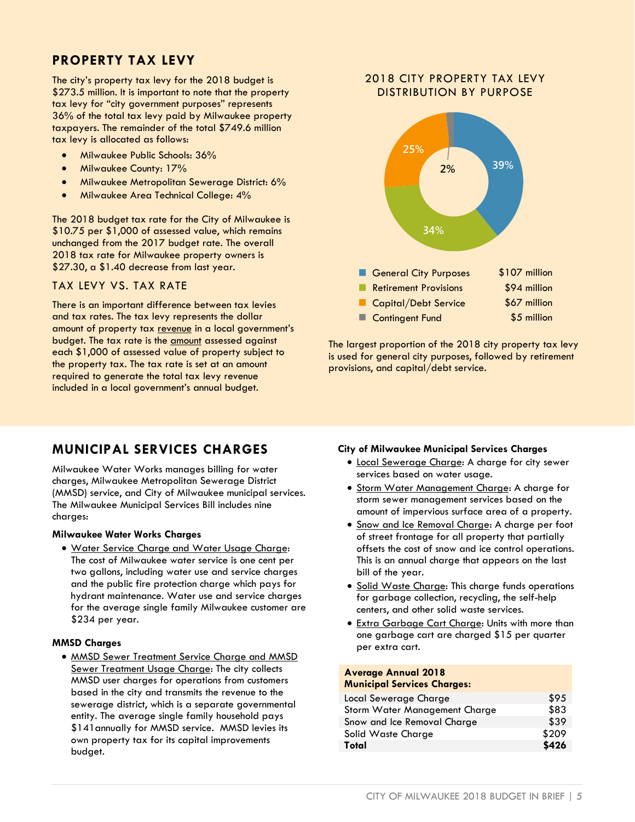### **PROPERTY TAX LEVY**

The city's property tax levy for the 2018 budget is \$273.5 million. It is important to note that the property tax levy for "city government purposes" represents 36% of the total tax levy paid by Milwaukee property taxpayers. The remainder of the total \$749.6 million tax levy is allocated as follows:

- Milwaukee Public Schools: 36%
- Milwaukee County: 17%
- **•** Milwaukee Metropolitan Sewerage District: 6%
- Milwaukee Area Technical College: 4%

The 2018 budget tax rate for the City of Milwaukee is \$10.75 per \$1,000 of assessed value, which remains unchanged from the 2017 budget rate. The overall 2018 tax rate for Milwaukee property owners is \$27.30, a \$1.40 decrease from last year.

#### TAX LEVY VS. TAX RATE

There is an important difference between tax levies and tax rates. The tax levy represents the dollar amount of property tax revenue in a local government's budget. The tax rate is the **amount** assessed against each \$1,000 of assessed value of property subject to the property tax. The tax rate is set at an amount required to generate the total tax levy revenue included in a local government's annual budget.

### **MUNICIPAL SERVICES CHARGES**

Milwaukee Water Works manages billing for water charges, Milwaukee Metropolitan Sewerage District (MMSD) service, and City of Milwaukee municipal services. The Milwaukee Municipal Services Bill includes nine charges:

#### **Milwaukee Water Works Charges**

 Water Service Charge and Water Usage Charge: The cost of Milwaukee water service is one cent per two gallons, including water use and service charges and the public fire protection charge which pays for hydrant maintenance. Water use and service charges for the average single family Milwaukee customer are \$234 per year.

#### **MMSD Charges**

• MMSD Sewer Treatment Service Charge and MMSD Sewer Treatment Usage Charge: The city collects MMSD user charges for operations from customers based in the city and transmits the revenue to the sewerage district, which is a separate governmental entity. The average single family household pays \$141 annually for MMSD service. MMSD levies its own property tax for its capital improvements budget.

#### 2018 CITY PROPERTY TAX LEVY DISTRIBUTION BY PURPOSE



The largest proportion of the 2018 city property tax levy is used for general city purposes, followed by retirement provisions, and capital/debt service.

#### **City of Milwaukee Municipal Services Charges**

- Local Sewerage Charge: A charge for city sewer services based on water usage.
- Storm Water Management Charge: A charge for storm sewer management services based on the amount of impervious surface area of a property.
- **Snow and Ice Removal Charge: A charge per foot** of street frontage for all property that partially offsets the cost of snow and ice control operations. This is an annual charge that appears on the last bill of the year.
- Solid Waste Charge: This charge funds operations for garbage collection, recycling, the self-help centers, and other solid waste services.
- Extra Garbage Cart Charge: Units with more than one garbage cart are charged \$15 per quarter per extra cart.

#### **Average Annual 2018 Municipal Services Charges:**

| <b>MUNICIPAL SELVICES CHAIGES.</b> |       |
|------------------------------------|-------|
| Local Sewerage Charge              | \$95  |
| Storm Water Management Charge      | \$83  |
| Snow and Ice Removal Charge        | \$39  |
| Solid Waste Charge                 | \$209 |
| Total                              | \$426 |
|                                    |       |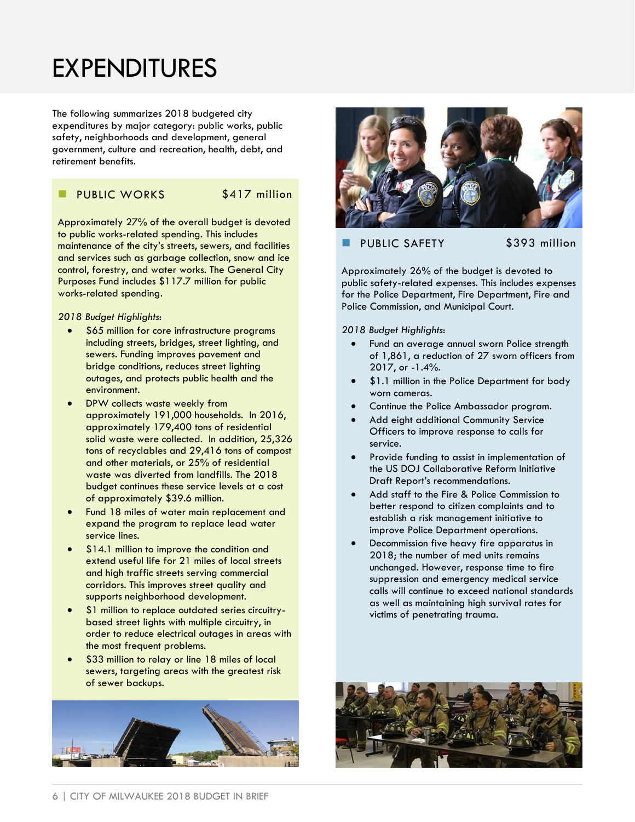## EXPENDITURES

The following summarizes 2018 budgeted city expenditures by major category: public works, public safety, neighborhoods and development, general government, culture and recreation, health, debt, and retirement benefits.

#### PUBLIC WORKS \$417 million

Approximately 27% of the overall budget is devoted to public works-related spending. This includes maintenance of the city's streets, sewers, and facilities and services such as garbage collection, snow and ice control, forestry, and water works. The General City Purposes Fund includes \$117.7 million for public works-related spending.

*2018 Budget Highlights*:

- \$65 million for core infrastructure programs including streets, bridges, street lighting, and sewers. Funding improves pavement and bridge conditions, reduces street lighting outages, and protects public health and the environment.
- DPW collects waste weekly from approximately 191,000 households. In 2016, approximately 179,400 tons of residential solid waste were collected. In addition, 25,326 tons of recyclables and 29,416 tons of compost and other materials, or 25% of residential waste was diverted from landfills. The 2018 budget continues these service levels at a cost of approximately \$39.6 million.
- Fund 18 miles of water main replacement and expand the program to replace lead water service lines.
- \$14.1 million to improve the condition and extend useful life for 21 miles of local streets and high traffic streets serving commercial corridors. This improves street quality and supports neighborhood development.
- \$1 million to replace outdated series circuitrybased street lights with multiple circuitry, in order to reduce electrical outages in areas with the most frequent problems.
- \$33 million to relay or line 18 miles of local sewers, targeting areas with the greatest risk of sewer backups.





#### PUBLIC SAFETY \$393 million

Approximately 26% of the budget is devoted to public safety-related expenses. This includes expenses for the Police Department, Fire Department, Fire and Police Commission, and Municipal Court.

*2018 Budget Highlights*:

- Fund an average annual sworn Police strength of 1,861, a reduction of 27 sworn officers from 2017, or -1.4%.
- \$1.1 million in the Police Department for body worn cameras.
- Continue the Police Ambassador program.
- Add eight additional Community Service Officers to improve response to calls for service.
- Provide funding to assist in implementation of the US DOJ Collaborative Reform Initiative Draft Report's recommendations.
- Add staff to the Fire & Police Commission to better respond to citizen complaints and to establish a risk management initiative to improve Police Department operations.
- Decommission five heavy fire apparatus in 2018; the number of med units remains unchanged. However, response time to fire suppression and emergency medical service calls will continue to exceed national standards as well as maintaining high survival rates for victims of penetrating trauma.

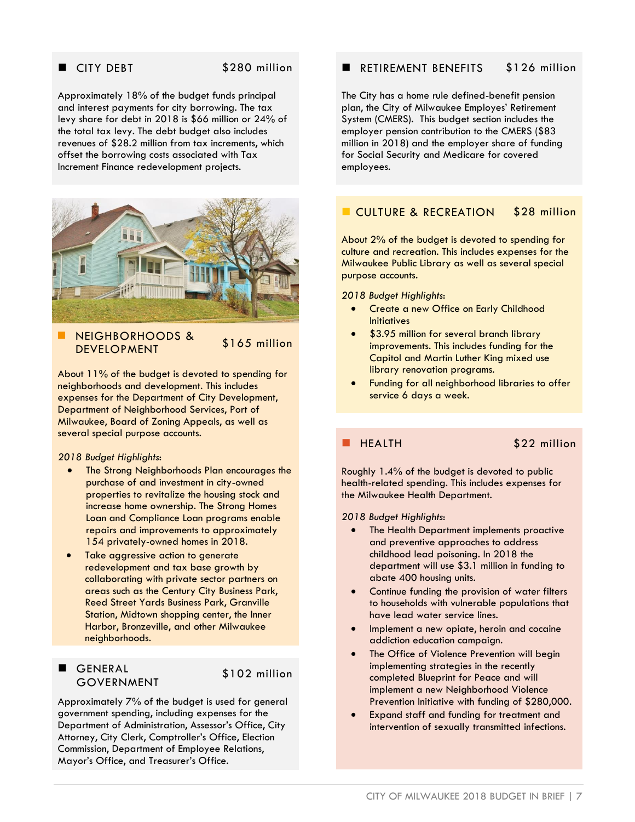#### CITY DEBT \$280 million

Approximately 18% of the budget funds principal and interest payments for city borrowing. The tax levy share for debt in 2018 is \$66 million or 24% of the total tax levy. The debt budget also includes revenues of \$28.2 million from tax increments, which offset the borrowing costs associated with Tax Increment Finance redevelopment projects.



 NEIGHBORHOODS & NEIOIIDOKIIOODS & \$165 million

About 11% of the budget is devoted to spending for neighborhoods and development. This includes expenses for the Department of City Development, Department of Neighborhood Services, Port of Milwaukee, Board of Zoning Appeals, as well as several special purpose accounts.

#### *2018 Budget Highlights*:

- The Strong Neighborhoods Plan encourages the purchase of and investment in city-owned properties to revitalize the housing stock and increase home ownership. The Strong Homes Loan and Compliance Loan programs enable repairs and improvements to approximately 154 privately-owned homes in 2018.
- Take aggressive action to generate redevelopment and tax base growth by collaborating with private sector partners on areas such as the Century City Business Park, Reed Street Yards Business Park, Granville Station, Midtown shopping center, the Inner Harbor, Bronzeville, and other Milwaukee neighborhoods.

#### GENERAL GOVERNMENT

\$102 million

Approximately 7% of the budget is used for general government spending, including expenses for the Department of Administration, Assessor's Office, City Attorney, City Clerk, Comptroller's Office, Election Commission, Department of Employee Relations, Mayor's Office, and Treasurer's Office.

#### **RETIREMENT BENEFITS** \$126 million

The City has a home rule defined-benefit pension plan, the City of Milwaukee Employes' Retirement System (CMERS). This budget section includes the employer pension contribution to the CMERS (\$83 million in 2018) and the employer share of funding for Social Security and Medicare for covered employees.

#### CULTURE & RECREATION \$28 million

About 2% of the budget is devoted to spending for culture and recreation. This includes expenses for the Milwaukee Public Library as well as several special purpose accounts.

#### *2018 Budget Highlights*:

- Create a new Office on Early Childhood **Initiatives**
- \$3.95 million for several branch library improvements. This includes funding for the Capitol and Martin Luther King mixed use library renovation programs.
- Funding for all neighborhood libraries to offer service 6 days a week.

HEALTH \$22 million

Roughly 1.4% of the budget is devoted to public health-related spending. This includes expenses for the Milwaukee Health Department.

*2018 Budget Highlights*:

- The Health Department implements proactive and preventive approaches to address childhood lead poisoning. In 2018 the department will use \$3.1 million in funding to abate 400 housing units.
- Continue funding the provision of water filters to households with vulnerable populations that have lead water service lines.
- Implement a new opiate, heroin and cocaine addiction education campaign.
- The Office of Violence Prevention will begin implementing strategies in the recently completed Blueprint for Peace and will implement a new Neighborhood Violence Prevention Initiative with funding of \$280,000.
- Expand staff and funding for treatment and intervention of sexually transmitted infections.